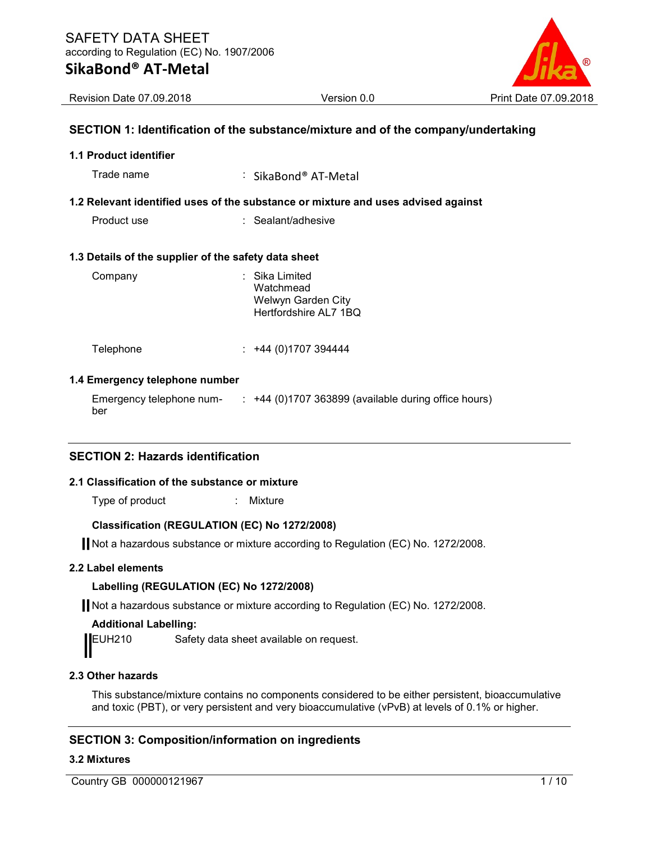

Revision Date 07.09.2018 Version 0.0 Print Date 07.09.2018

# SECTION 1: Identification of the substance/mixture and of the company/undertaking

# 1.1 Product identifier

Trade name  $\qquad \qquad : \quad$  SikaBond® AT-Metal

## 1.2 Relevant identified uses of the substance or mixture and uses advised against

Product use : Sealant/adhesive

#### 1.3 Details of the supplier of the safety data sheet

| Company | : Sika Limited<br>Watchmead<br>Welwyn Garden City<br>Hertfordshire AL7 1BQ |
|---------|----------------------------------------------------------------------------|
|         |                                                                            |

Telephone : +44 (0)1707 394444

#### 1.4 Emergency telephone number

| Emergency telephone num- | +44 (0)1707 363899 (available during office hours) |
|--------------------------|----------------------------------------------------|
| ber                      |                                                    |

# SECTION 2: Hazards identification

#### 2.1 Classification of the substance or mixture

Type of product **in the COV**: Mixture

### Classification (REGULATION (EC) No 1272/2008)

Not a hazardous substance or mixture according to Regulation (EC) No. 1272/2008.

#### 2.2 Label elements

#### Labelling (REGULATION (EC) No 1272/2008)

Not a hazardous substance or mixture according to Regulation (EC) No. 1272/2008.

#### Additional Labelling:

EUH210 Safety data sheet available on request.

# 2.3 Other hazards

This substance/mixture contains no components considered to be either persistent, bioaccumulative and toxic (PBT), or very persistent and very bioaccumulative (vPvB) at levels of 0.1% or higher.

# SECTION 3: Composition/information on ingredients

# 3.2 Mixtures

Country GB 000000121967 1 / 10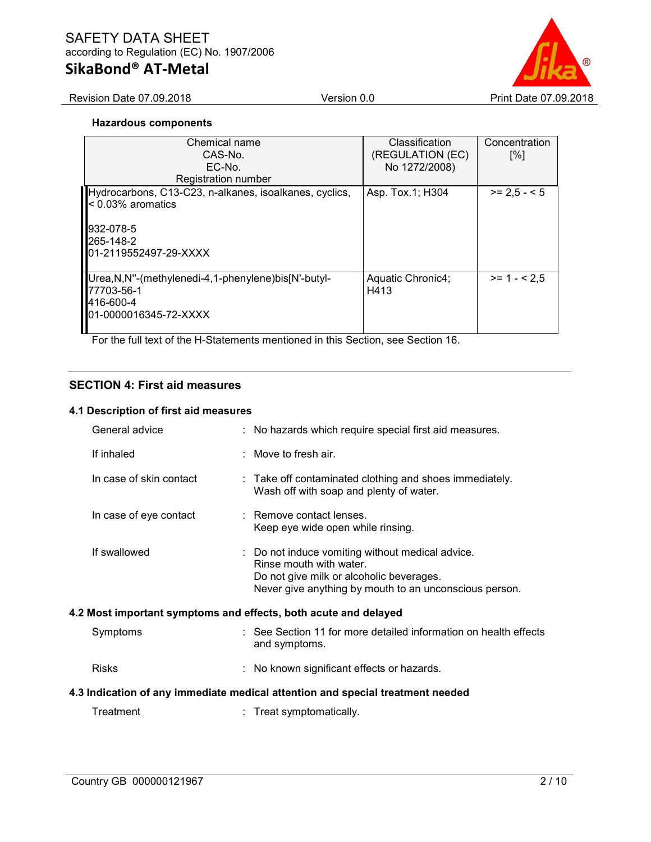# SAFETY DATA SHEET according to Regulation (EC) No. 1907/2006

# SikaBond® AT-Metal

Revision Date 07.09.2018 **Version 0.0** Print Date 07.09.2018

#### Hazardous components

| Chemical name<br>CAS-No.<br>EC-No.<br><b>Registration number</b>                                                                                  | Classification<br>(REGULATION (EC)<br>No 1272/2008) | Concentration<br>$\lceil\% \rceil$ |
|---------------------------------------------------------------------------------------------------------------------------------------------------|-----------------------------------------------------|------------------------------------|
| Hydrocarbons, C13-C23, n-alkanes, isoalkanes, cyclics,<br>$\vert$ < 0.03% aromatics<br>932-078-5<br>l <b>l</b> 265-148-2<br>01-2119552497-29-XXXX | Asp. Tox.1; H304                                    | $>= 2.5 - 5$                       |
| Urea, N, N"-(methylenedi-4, 1-phenylene) bis [N'-butyl-<br>77703-56-1<br><b>I4</b> 16-600-4<br>01-0000016345-72-XXXX                              | Aquatic Chronic4;<br>H413                           | $>= 1 - 2.5$                       |

For the full text of the H-Statements mentioned in this Section, see Section 16.

# SECTION 4: First aid measures

#### 4.1 Description of first aid measures

| General advice          | : No hazards which require special first aid measures.                                                                                                                            |
|-------------------------|-----------------------------------------------------------------------------------------------------------------------------------------------------------------------------------|
| If inhaled              | : Move to fresh air.                                                                                                                                                              |
| In case of skin contact | : Take off contaminated clothing and shoes immediately.<br>Wash off with soap and plenty of water.                                                                                |
| In case of eye contact  | : Remove contact lenses.<br>Keep eye wide open while rinsing.                                                                                                                     |
| If swallowed            | : Do not induce vomiting without medical advice.<br>Rinse mouth with water.<br>Do not give milk or alcoholic beverages.<br>Never give anything by mouth to an unconscious person. |
|                         | 4.2 Most important symptoms and effects, both acute and delayed                                                                                                                   |
| Symptoms                | : See Section 11 for more detailed information on health effects<br>and symptoms.                                                                                                 |
| <b>Risks</b>            | : No known significant effects or hazards.                                                                                                                                        |
|                         | 4.3 Indication of any immediate medical attention and special treatment needed                                                                                                    |
| Treatment               | : Treat symptomatically.                                                                                                                                                          |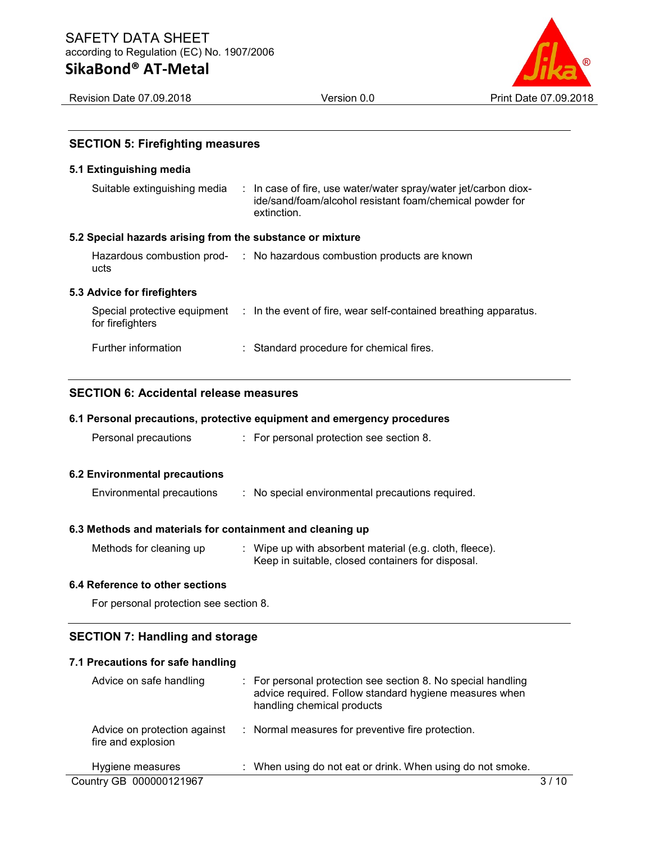

Revision Date 07.09.2018 Version 0.0 Print Date 07.09.2018

# SECTION 5: Firefighting measures

#### 5.1 Extinguishing media

| Suitable extinguishing media | : In case of fire, use water/water spray/water jet/carbon diox- |
|------------------------------|-----------------------------------------------------------------|
|                              | ide/sand/foam/alcohol resistant foam/chemical powder for        |
|                              | extinction.                                                     |

#### 5.2 Special hazards arising from the substance or mixture

|      | Hazardous combustion prod- : No hazardous combustion products are known |
|------|-------------------------------------------------------------------------|
| ucts |                                                                         |
|      |                                                                         |

# 5.3 Advice for firefighters

| for firefighters    | Special protective equipment : In the event of fire, wear self-contained breathing apparatus. |
|---------------------|-----------------------------------------------------------------------------------------------|
| Further information | : Standard procedure for chemical fires.                                                      |

# SECTION 6: Accidental release measures

## 6.1 Personal precautions, protective equipment and emergency procedures

|  | Personal precautions |  | For personal protection see section 8. |
|--|----------------------|--|----------------------------------------|
|--|----------------------|--|----------------------------------------|

#### 6.2 Environmental precautions

| Environmental precautions<br>No special environmental precautions required. |
|-----------------------------------------------------------------------------|
|-----------------------------------------------------------------------------|

# 6.3 Methods and materials for containment and cleaning up

| Methods for cleaning up | Wipe up with absorbent material (e.g. cloth, fleece). |
|-------------------------|-------------------------------------------------------|
|                         | Keep in suitable, closed containers for disposal.     |

# 6.4 Reference to other sections

For personal protection see section 8.

# SECTION 7: Handling and storage

#### 7.1 Precautions for safe handling

| Advice on safe handling                            | $\therefore$ For personal protection see section 8. No special handling<br>advice required. Follow standard hygiene measures when<br>handling chemical products |  |
|----------------------------------------------------|-----------------------------------------------------------------------------------------------------------------------------------------------------------------|--|
| Advice on protection against<br>fire and explosion | : Normal measures for preventive fire protection.                                                                                                               |  |
| Hygiene measures                                   | : When using do not eat or drink. When using do not smoke.                                                                                                      |  |
| Country GB 000000121967                            |                                                                                                                                                                 |  |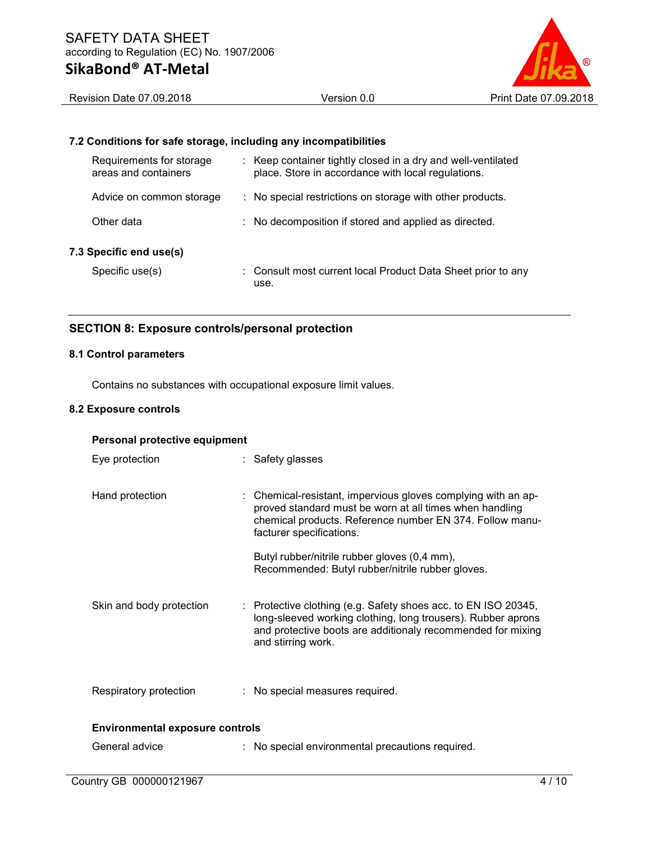

Revision Date 07.09.2018 **Version 0.0** Print Date 07.09.2018

# 7.2 Conditions for safe storage, including any incompatibilities

| Requirements for storage<br>areas and containers | : Keep container tightly closed in a dry and well-ventilated<br>place. Store in accordance with local regulations. |
|--------------------------------------------------|--------------------------------------------------------------------------------------------------------------------|
| Advice on common storage                         | : No special restrictions on storage with other products.                                                          |
| Other data                                       | : No decomposition if stored and applied as directed.                                                              |
| 7.3 Specific end use(s)                          |                                                                                                                    |
| Specific use(s)                                  | : Consult most current local Product Data Sheet prior to any<br>use.                                               |

# SECTION 8: Exposure controls/personal protection

# 8.1 Control parameters

Contains no substances with occupational exposure limit values.

## 8.2 Exposure controls

| Personal protective equipment          |  |                                                                                                                                                                                                                     |  |
|----------------------------------------|--|---------------------------------------------------------------------------------------------------------------------------------------------------------------------------------------------------------------------|--|
| Eye protection                         |  | : Safety glasses                                                                                                                                                                                                    |  |
| Hand protection                        |  | : Chemical-resistant, impervious gloves complying with an ap-<br>proved standard must be worn at all times when handling<br>chemical products. Reference number EN 374. Follow manu-<br>facturer specifications.    |  |
|                                        |  | Butyl rubber/nitrile rubber gloves (0,4 mm),<br>Recommended: Butyl rubber/nitrile rubber gloves.                                                                                                                    |  |
| Skin and body protection               |  | : Protective clothing (e.g. Safety shoes acc. to EN ISO 20345,<br>long-sleeved working clothing, long trousers). Rubber aprons<br>and protective boots are additionaly recommended for mixing<br>and stirring work. |  |
| Respiratory protection                 |  | : No special measures required.                                                                                                                                                                                     |  |
| <b>Environmental exposure controls</b> |  |                                                                                                                                                                                                                     |  |
| General advice                         |  | : No special environmental precautions required.                                                                                                                                                                    |  |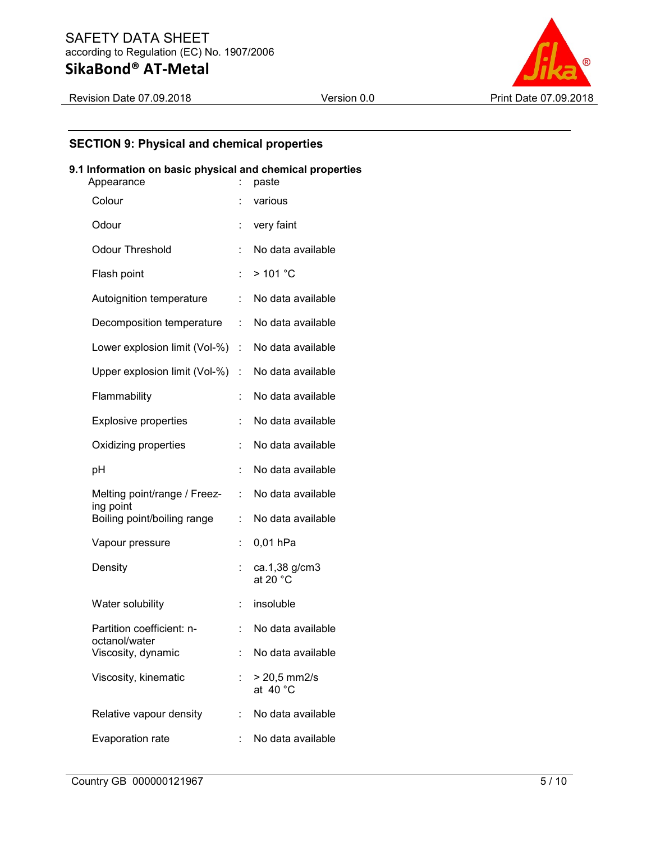

# SECTION 9: Physical and chemical properties

# 9.1 Information on basic physical and chemical properties

| Appearance                                 |                       | paste                                |
|--------------------------------------------|-----------------------|--------------------------------------|
| Colour                                     |                       | various                              |
| Odour                                      |                       | very faint                           |
| <b>Odour Threshold</b>                     |                       | No data available                    |
| Flash point                                |                       | >101 °C                              |
| Autoignition temperature                   | t.                    | No data available                    |
| Decomposition temperature                  | t.                    | No data available                    |
| Lower explosion limit (Vol-%)              | t.                    | No data available                    |
| Upper explosion limit (Vol-%)              | $\mathbb{Z}^{\times}$ | No data available                    |
| Flammability                               |                       | No data available                    |
| <b>Explosive properties</b>                |                       | No data available                    |
| Oxidizing properties                       | t.                    | No data available                    |
| рH                                         | t                     | No data available                    |
| Melting point/range / Freez-               | t,                    | No data available                    |
| ing point<br>Boiling point/boiling range   | ÷                     | No data available                    |
| Vapour pressure                            | t,                    | $0,01$ hPa                           |
| Density                                    |                       | ca.1,38 g/cm3<br>at 20 °C            |
| Water solubility                           | t.                    | insoluble                            |
| Partition coefficient: n-<br>octanol/water |                       | No data available                    |
| Viscosity, dynamic                         |                       | No data available                    |
| Viscosity, kinematic                       |                       | $> 20,5$ mm2/s<br>at 40 $^{\circ}$ C |
| Relative vapour density                    |                       | No data available                    |
| Evaporation rate                           |                       | No data available                    |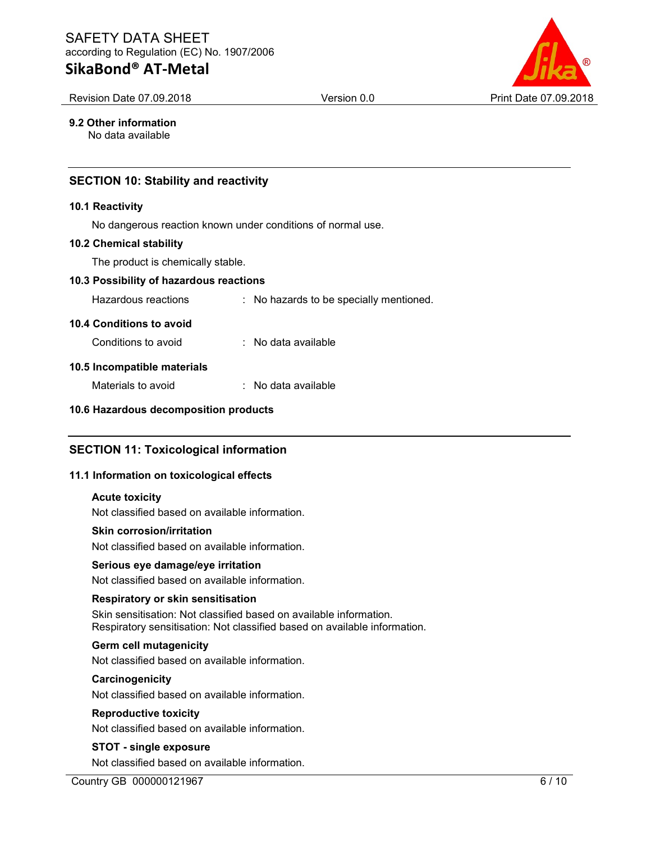Revision Date 07.09.2018 **Version 0.0 Print Date 07.09.2018 Print Date 07.09.2018** 

# 9.2 Other information

No data available

# SECTION 10: Stability and reactivity

#### 10.1 Reactivity

No dangerous reaction known under conditions of normal use.

#### 10.2 Chemical stability

The product is chemically stable.

#### 10.3 Possibility of hazardous reactions

Hazardous reactions : No hazards to be specially mentioned.

#### 10.4 Conditions to avoid

| Conditions to avoid | No data available |
|---------------------|-------------------|
|---------------------|-------------------|

#### 10.5 Incompatible materials

Materials to avoid : No data available

#### 10.6 Hazardous decomposition products

# SECTION 11: Toxicological information

#### 11.1 Information on toxicological effects

#### Acute toxicity

Not classified based on available information.

#### Skin corrosion/irritation

Not classified based on available information.

#### Serious eye damage/eye irritation

Not classified based on available information.

#### Respiratory or skin sensitisation

Skin sensitisation: Not classified based on available information. Respiratory sensitisation: Not classified based on available information.

#### Germ cell mutagenicity

Not classified based on available information.

#### **Carcinogenicity**

Not classified based on available information.

#### Reproductive toxicity

Not classified based on available information.

# STOT - single exposure

Not classified based on available information.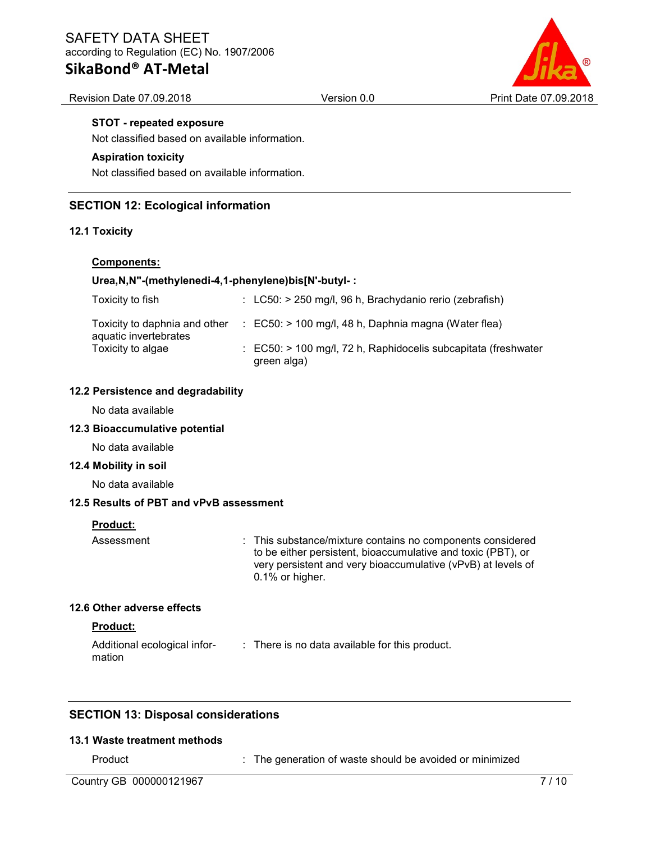

#### Revision Date 07.09.2018 **Version 0.0 Print Date 07.09.2018 Print Date 07.09.2018**

#### STOT - repeated exposure

Not classified based on available information.

#### Aspiration toxicity

Not classified based on available information.

# SECTION 12: Ecological information

#### 12.1 Toxicity

### Components:

#### Urea,N,N''-(methylenedi-4,1-phenylene)bis[N'-butyl- :

| Toxicity to fish                                       | $\therefore$ LC50: > 250 mg/l, 96 h, Brachydanio rerio (zebrafish)                       |
|--------------------------------------------------------|------------------------------------------------------------------------------------------|
| Toxicity to daphnia and other<br>aquatic invertebrates | $\therefore$ EC50: > 100 mg/l, 48 h, Daphnia magna (Water flea)                          |
| Toxicity to algae                                      | $\therefore$ EC50: > 100 mg/l, 72 h, Raphidocelis subcapitata (freshwater<br>green alga) |

#### 12.2 Persistence and degradability

No data available

#### 12.3 Bioaccumulative potential

No data available

#### 12.4 Mobility in soil

No data available

# 12.5 Results of PBT and vPvB assessment

#### Product:

Assessment : This substance/mixture contains no components considered to be either persistent, bioaccumulative and toxic (PBT), or very persistent and very bioaccumulative (vPvB) at levels of 0.1% or higher.

#### 12.6 Other adverse effects

#### Product:

Additional ecological information : There is no data available for this product.

# SECTION 13: Disposal considerations

#### 13.1 Waste treatment methods

Product : The generation of waste should be avoided or minimized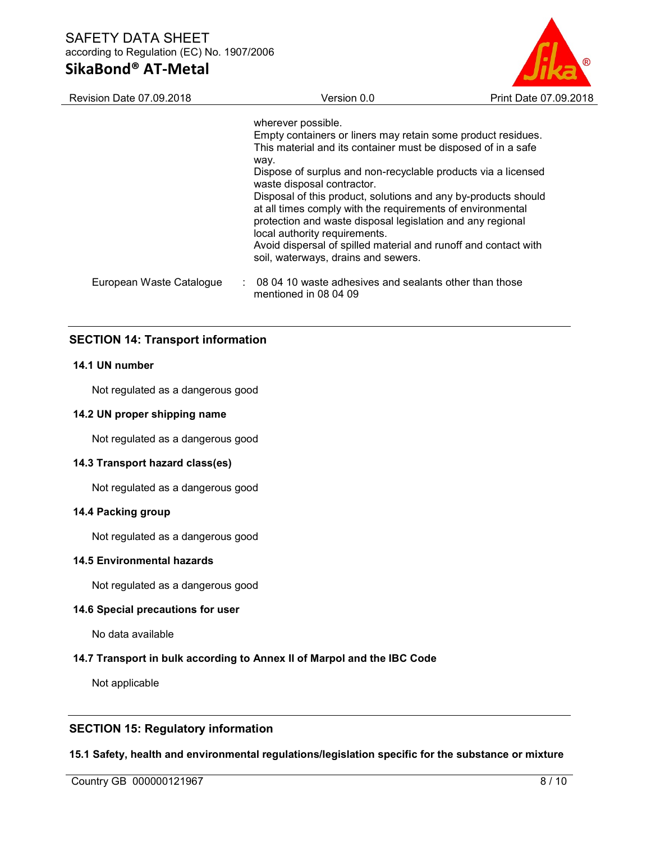| Revision Date 07.09.2018 | Version 0.0                                                                                                                                                                                                                 | Print Date 07.09.2018 |
|--------------------------|-----------------------------------------------------------------------------------------------------------------------------------------------------------------------------------------------------------------------------|-----------------------|
|                          | wherever possible.                                                                                                                                                                                                          |                       |
|                          | Empty containers or liners may retain some product residues.                                                                                                                                                                |                       |
|                          | This material and its container must be disposed of in a safe<br>way.                                                                                                                                                       |                       |
|                          | Dispose of surplus and non-recyclable products via a licensed<br>waste disposal contractor.                                                                                                                                 |                       |
|                          | Disposal of this product, solutions and any by-products should<br>at all times comply with the requirements of environmental<br>protection and waste disposal legislation and any regional<br>local authority requirements. |                       |
|                          | Avoid dispersal of spilled material and runoff and contact with<br>soil, waterways, drains and sewers.                                                                                                                      |                       |
| European Waste Catalogue | $\therefore$ 08 04 10 waste adhesives and sealants other than those<br>mentioned in 08 04 09                                                                                                                                |                       |

# SECTION 14: Transport information

# 14.1 UN number

Not regulated as a dangerous good

#### 14.2 UN proper shipping name

Not regulated as a dangerous good

#### 14.3 Transport hazard class(es)

Not regulated as a dangerous good

#### 14.4 Packing group

Not regulated as a dangerous good

# 14.5 Environmental hazards

Not regulated as a dangerous good

# 14.6 Special precautions for user

No data available

#### 14.7 Transport in bulk according to Annex II of Marpol and the IBC Code

Not applicable

# SECTION 15: Regulatory information

#### 15.1 Safety, health and environmental regulations/legislation specific for the substance or mixture

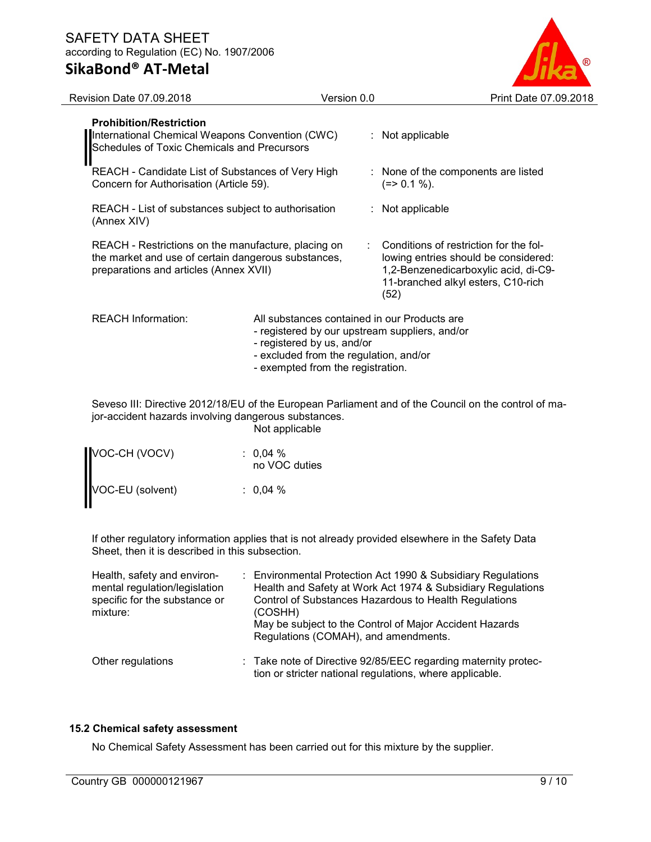# SAFETY DATA SHEET according to Regulation (EC) No. 1907/2006

SikaBond® AT-Metal

| <b>Revision Date 07.09.2018</b>                                                                                                                      | Version 0.0                                                                                                                                                                                                 |  | Print Date 07.09.2018                                                                                                                                                |
|------------------------------------------------------------------------------------------------------------------------------------------------------|-------------------------------------------------------------------------------------------------------------------------------------------------------------------------------------------------------------|--|----------------------------------------------------------------------------------------------------------------------------------------------------------------------|
| <b>Prohibition/Restriction</b><br>International Chemical Weapons Convention (CWC)<br>Schedules of Toxic Chemicals and Precursors                     |                                                                                                                                                                                                             |  | : Not applicable                                                                                                                                                     |
| REACH - Candidate List of Substances of Very High<br>Concern for Authorisation (Article 59).                                                         |                                                                                                                                                                                                             |  | None of the components are listed<br>$(=>0.1\%).$                                                                                                                    |
| REACH - List of substances subject to authorisation<br>(Annex XIV)                                                                                   |                                                                                                                                                                                                             |  | : Not applicable                                                                                                                                                     |
| REACH - Restrictions on the manufacture, placing on<br>the market and use of certain dangerous substances,<br>preparations and articles (Annex XVII) |                                                                                                                                                                                                             |  | Conditions of restriction for the fol-<br>lowing entries should be considered:<br>1,2-Benzenedicarboxylic acid, di-C9-<br>11-branched alkyl esters, C10-rich<br>(52) |
| <b>REACH Information:</b>                                                                                                                            | All substances contained in our Products are<br>- registered by our upstream suppliers, and/or<br>- registered by us, and/or<br>- excluded from the regulation, and/or<br>- exempted from the registration. |  |                                                                                                                                                                      |
|                                                                                                                                                      |                                                                                                                                                                                                             |  | Seveso III: Directive 2012/18/EU of the European Parliament and of the Council on the control of ma-                                                                 |

Seveso III: Directive 2012/18/EU of the European Parliament and of the Council on the control of major-accident hazards involving dangerous substances. Not applicable

| VOC-CH (VOCV)    | : $0,04%$<br>no VOC duties |
|------------------|----------------------------|
| VOC-EU (solvent) | $: 0.04 \%$                |

If other regulatory information applies that is not already provided elsewhere in the Safety Data Sheet, then it is described in this subsection.

| Health, safety and environ-<br>mental regulation/legislation<br>specific for the substance or<br>mixture: | : Environmental Protection Act 1990 & Subsidiary Regulations<br>Health and Safety at Work Act 1974 & Subsidiary Regulations<br>Control of Substances Hazardous to Health Regulations<br>(COSHH)<br>May be subject to the Control of Major Accident Hazards<br>Regulations (COMAH), and amendments. |
|-----------------------------------------------------------------------------------------------------------|----------------------------------------------------------------------------------------------------------------------------------------------------------------------------------------------------------------------------------------------------------------------------------------------------|
| Other regulations                                                                                         | : Take note of Directive 92/85/EEC regarding maternity protec-<br>tion or stricter national regulations, where applicable.                                                                                                                                                                         |

# 15.2 Chemical safety assessment

No Chemical Safety Assessment has been carried out for this mixture by the supplier.